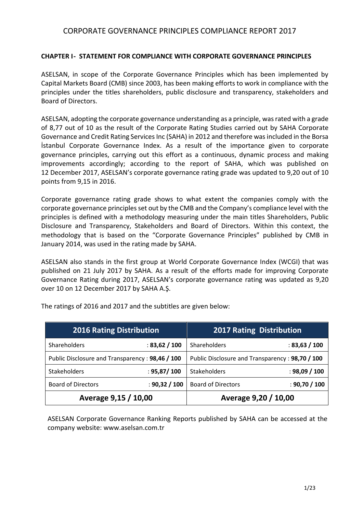### **CHAPTER I- STATEMENT FOR COMPLIANCE WITH CORPORATE GOVERNANCE PRINCIPLES**

ASELSAN, in scope of the Corporate Governance Principles which has been implemented by Capital Markets Board (CMB) since 2003, has been making efforts to work in compliance with the principles under the titles shareholders, public disclosure and transparency, stakeholders and Board of Directors.

ASELSAN, adopting the corporate governance understanding as a principle, was rated with a grade of 8,77 out of 10 as the result of the Corporate Rating Studies carried out by SAHA Corporate Governance and Credit Rating Services Inc (SAHA) in 2012 and therefore was included in the Borsa İstanbul Corporate Governance Index. As a result of the importance given to corporate governance principles, carrying out this effort as a continuous, dynamic process and making improvements accordingly; according to the report of SAHA, which was published on 12 December 2017, ASELSAN's corporate governance rating grade was updated to 9,20 out of 10 points from 9,15 in 2016.

Corporate governance rating grade shows to what extent the companies comply with the corporate governance principles set out by the CMB and the Company's compliance level with the principles is defined with a methodology measuring under the main titles Shareholders, Public Disclosure and Transparency, Stakeholders and Board of Directors. Within this context, the methodology that is based on the "Corporate Governance Principles" published by CMB in January 2014, was used in the rating made by SAHA.

ASELSAN also stands in the first group at World Corporate Governance Index (WCGI) that was published on 21 July 2017 by SAHA. As a result of the efforts made for improving Corporate Governance Rating during 2017, ASELSAN's corporate governance rating was updated as 9,20 over 10 on 12 December 2017 by SAHA A.Ş.

| <b>2016 Rating Distribution</b>                 |               | <b>2017 Rating Distribution</b>                 |               |
|-------------------------------------------------|---------------|-------------------------------------------------|---------------|
| <b>Shareholders</b>                             | : 83,62 / 100 | Shareholders                                    | : 83,63 / 100 |
| Public Disclosure and Transparency: 98,46 / 100 |               | Public Disclosure and Transparency: 98,70 / 100 |               |
| <b>Stakeholders</b>                             | : 95,87/100   | <b>Stakeholders</b>                             | : 98,09 / 100 |
| <b>Board of Directors</b>                       | : 90,32 / 100 | <b>Board of Directors</b>                       | : 90,70 / 100 |
| Average 9,15 / 10,00                            |               | Average 9,20 / 10,00                            |               |

The ratings of 2016 and 2017 and the subtitles are given below:

ASELSAN Corporate Governance Ranking Reports published by SAHA can be accessed at the company website[: www.aselsan.com.](http://www.aselsan.com/)tr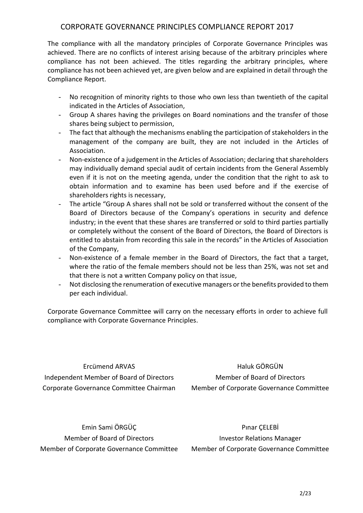The compliance with all the mandatory principles of Corporate Governance Principles was achieved. There are no conflicts of interest arising because of the arbitrary principles where compliance has not been achieved. The titles regarding the arbitrary principles, where compliance has not been achieved yet, are given below and are explained in detail through the Compliance Report.

- No recognition of minority rights to those who own less than twentieth of the capital indicated in the Articles of Association,
- Group A shares having the privileges on Board nominations and the transfer of those shares being subject to permission,
- The fact that although the mechanisms enabling the participation of stakeholders in the management of the company are built, they are not included in the Articles of Association.
- Non-existence of a judgement in the Articles of Association; declaring that shareholders may individually demand special audit of certain incidents from the General Assembly even if it is not on the meeting agenda, under the condition that the right to ask to obtain information and to examine has been used before and if the exercise of shareholders rights is necessary,
- The article "Group A shares shall not be sold or transferred without the consent of the Board of Directors because of the Company's operations in security and defence industry; in the event that these shares are transferred or sold to third parties partially or completely without the consent of the Board of Directors, the Board of Directors is entitled to abstain from recording this sale in the records" in the Articles of Association of the Company,
- Non-existence of a female member in the Board of Directors, the fact that a target, where the ratio of the female members should not be less than 25%, was not set and that there is not a written Company policy on that issue,
- Not disclosing the renumeration of executive managers or the benefits provided to them per each individual.

Corporate Governance Committee will carry on the necessary efforts in order to achieve full compliance with Corporate Governance Principles.

Ercümend ARVAS Independent Member of Board of Directors Corporate Governance Committee Chairman

Haluk GÖRGÜN Member of Board of Directors Member of Corporate Governance Committee

Emin Sami ÖRGÜÇ Member of Board of Directors Member of Corporate Governance Committee

Pınar ÇELEBİ Investor Relations Manager Member of Corporate Governance Committee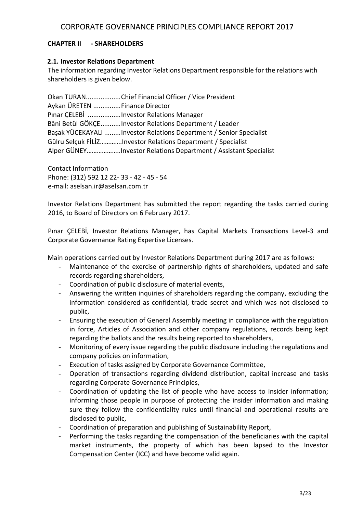### **CHAPTER II - SHAREHOLDERS**

#### **2.1. Investor Relations Department**

The information regarding Investor Relations Department responsible for the relations with shareholders is given below.

Okan TURAN...................Chief Financial Officer / Vice President Aykan ÜRETEN ...............Finance Director Pınar ÇELEBİ ..................Investor Relations Manager Bâni Betül GÖKÇE...........Investor Relations Department / Leader Başak YÜCEKAYALI .........Investor Relations Department / Senior Specialist Gülru Selçuk FİLİZ………….Investor Relations Department / Specialist Alper GÜNEY………………..Investor Relations Department / Assistant Specialist

Contact Information Phone: (312) 592 12 22- 33 - 42 - 45 - 54 e-mail: aselsan.ir@aselsan.com.tr

Investor Relations Department has submitted the report regarding the tasks carried during 2016, to Board of Directors on 6 February 2017.

Pınar ÇELEBİ, Investor Relations Manager, has Capital Markets Transactions Level-3 and Corporate Governance Rating Expertise Licenses.

Main operations carried out by Investor Relations Department during 2017 are as follows:

- Maintenance of the exercise of partnership rights of shareholders, updated and safe records regarding shareholders,
- Coordination of public disclosure of material events,
- Answering the written inquiries of shareholders regarding the company, excluding the information considered as confidential, trade secret and which was not disclosed to public,
- Ensuring the execution of General Assembly meeting in compliance with the regulation in force, Articles of Association and other company regulations, records being kept regarding the ballots and the results being reported to shareholders,
- Monitoring of every issue regarding the public disclosure including the regulations and company policies on information,
- Execution of tasks assigned by Corporate Governance Committee,
- Operation of transactions regarding dividend distribution, capital increase and tasks regarding Corporate Governance Principles,
- Coordination of updating the list of people who have access to insider information; informing those people in purpose of protecting the insider information and making sure they follow the confidentiality rules until financial and operational results are disclosed to public,
- Coordination of preparation and publishing of Sustainability Report,
- Performing the tasks regarding the compensation of the beneficiaries with the capital market instruments, the property of which has been lapsed to the Investor Compensation Center (ICC) and have become valid again.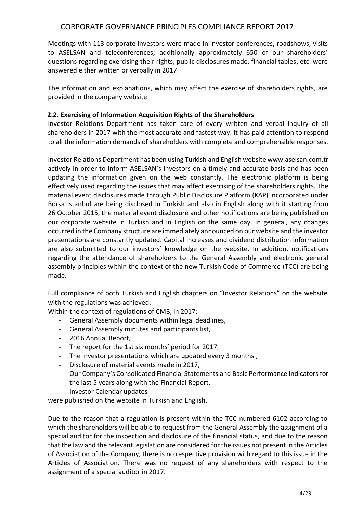Meetings with 113 corporate investors were made in investor conferences, roadshows, visits to ASELSAN and teleconferences; additionally approximately 650 of our shareholders' questions regarding exercising their rights, public disclosures made, financial tables, etc. were answered either written or verbally in 2017.

The information and explanations, which may affect the exercise of shareholders rights, are provided in the company website.

## **2.2. Exercising of Information Acquisition Rights of the Shareholders**

Investor Relations Department has taken care of every written and verbal inquiry of all shareholders in 2017 with the most accurate and fastest way. It has paid attention to respond to all the information demands of shareholders with complete and comprehensible responses.

Investor Relations Department has been using Turkish and English website www.aselsan.com.tr actively in order to inform ASELSAN's investors on a timely and accurate basis and has been updating the information given on the web constantly. The electronic platform is being effectively used regarding the issues that may affect exercising of the shareholders rights. The material event disclosures made through Public Disclosure Platform (KAP) incorporated under Borsa İstanbul are being disclosed in Turkish and also in English along with it starting from 26 October 2015, the material event disclosure and other notifications are being published on our corporate website in Turkish and in English on the same day. In general, any changes occurred in the Company structure are immediately announced on our website and the investor presentations are constantly updated. Capital increases and dividend distribution information are also submitted to our investors' knowledge on the website. In addition, notifications regarding the attendance of shareholders to the General Assembly and electronic general assembly principles within the context of the new Turkish Code of Commerce (TCC) are being made.

Full compliance of both Turkish and English chapters on "Investor Relations" on the website with the regulations was achieved.

Within the context of regulations of CMB, in 2017;

- General Assembly documents within legal deadlines,
- General Assembly minutes and participants list,
- 2016 Annual Report,
- The report for the 1st six months' period for 2017,
- The investor presentations which are updated every 3 months,
- Disclosure of material events made in 2017,
- Our Company's Consolidated Financial Statements and Basic Performance Indicators for the last 5 years along with the Financial Report,
- Investor Calendar updates

were published on the website in Turkish and English.

Due to the reason that a regulation is present within the TCC numbered 6102 according to which the shareholders will be able to request from the General Assembly the assignment of a special auditor for the inspection and disclosure of the financial status, and due to the reason that the law and the relevant legislation are considered for the issues not present in the Articles of Association of the Company, there is no respective provision with regard to this issue in the Articles of Association. There was no request of any shareholders with respect to the assignment of a special auditor in 2017.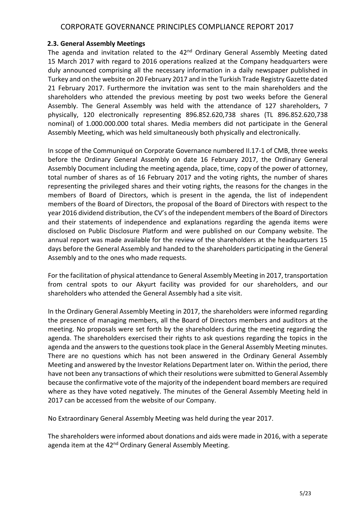#### **2.3. General Assembly Meetings**

The agenda and invitation related to the 42<sup>nd</sup> Ordinary General Assembly Meeting dated 15 March 2017 with regard to 2016 operations realized at the Company headquarters were duly announced comprising all the necessary information in a daily newspaper published in Turkey and on the website on 20 February 2017 and in the Turkish Trade Registry Gazette dated 21 February 2017. Furthermore the invitation was sent to the main shareholders and the shareholders who attended the previous meeting by post two weeks before the General Assembly. The General Assembly was held with the attendance of 127 shareholders, 7 physically, 120 electronically representing 896.852.620,738 shares (TL 896.852.620,738 nominal) of 1.000.000.000 total shares. Media members did not participate in the General Assembly Meeting, which was held simultaneously both physically and electronically.

In scope of the Communiqué on Corporate Governance numbered II.17-1 of CMB, three weeks before the Ordinary General Assembly on date 16 February 2017, the Ordinary General Assembly Document including the meeting agenda, place, time, copy of the power of attorney, total number of shares as of 16 February 2017 and the voting rights, the number of shares representing the privileged shares and their voting rights, the reasons for the changes in the members of Board of Directors, which is present in the agenda, the list of independent members of the Board of Directors, the proposal of the Board of Directors with respect to the year 2016 dividend distribution, the CV's of the independent members of the Board of Directors and their statements of independence and explanations regarding the agenda items were disclosed on Public Disclosure Platform and were published on our Company website. The annual report was made available for the review of the shareholders at the headquarters 15 days before the General Assembly and handed to the shareholders participating in the General Assembly and to the ones who made requests.

For the facilitation of physical attendance to General Assembly Meeting in 2017, transportation from central spots to our Akyurt facility was provided for our shareholders, and our shareholders who attended the General Assembly had a site visit.

In the Ordinary General Assembly Meeting in 2017, the shareholders were informed regarding the presence of managing members, all the Board of Directors members and auditors at the meeting. No proposals were set forth by the shareholders during the meeting regarding the agenda. The shareholders exercised their rights to ask questions regarding the topics in the agenda and the answers to the questions took place in the General Assembly Meeting minutes. There are no questions which has not been answered in the Ordinary General Assembly Meeting and answered by the Investor Relations Department later on. Within the period, there have not been any transactions of which their resolutions were submitted to General Assembly because the confirmative vote of the majority of the independent board members are required where as they have voted negatively. The minutes of the General Assembly Meeting held in 2017 can be accessed from the website of our Company.

No Extraordinary General Assembly Meeting was held during the year 2017.

The shareholders were informed about donations and aids were made in 2016, with a seperate agenda item at the 42<sup>nd</sup> Ordinary General Assembly Meeting.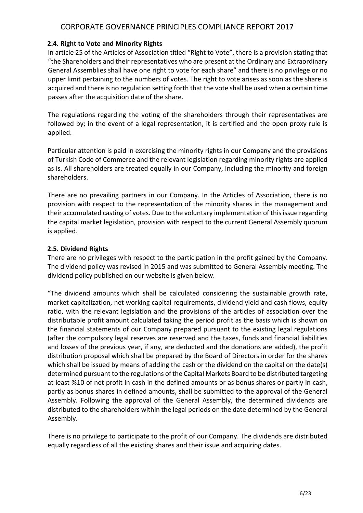### **2.4. Right to Vote and Minority Rights**

In article 25 of the Articles of Association titled "Right to Vote", there is a provision stating that "the Shareholders and their representatives who are present at the Ordinary and Extraordinary General Assemblies shall have one right to vote for each share" and there is no privilege or no upper limit pertaining to the numbers of votes. The right to vote arises as soon as the share is acquired and there is no regulation setting forth that the vote shall be used when a certain time passes after the acquisition date of the share.

The regulations regarding the voting of the shareholders through their representatives are followed by; in the event of a legal representation, it is certified and the open proxy rule is applied.

Particular attention is paid in exercising the minority rights in our Company and the provisions of Turkish Code of Commerce and the relevant legislation regarding minority rights are applied as is. All shareholders are treated equally in our Company, including the minority and foreign shareholders.

There are no prevailing partners in our Company. In the Articles of Association, there is no provision with respect to the representation of the minority shares in the management and their accumulated casting of votes. Due to the voluntary implementation of this issue regarding the capital market legislation, provision with respect to the current General Assembly quorum is applied.

### **2.5. Dividend Rights**

There are no privileges with respect to the participation in the profit gained by the Company. The dividend policy was revised in 2015 and was submitted to General Assembly meeting. The dividend policy published on our website is given below.

"The dividend amounts which shall be calculated considering the sustainable growth rate, market capitalization, net working capital requirements, dividend yield and cash flows, equity ratio, with the relevant legislation and the provisions of the articles of association over the distributable profit amount calculated taking the period profit as the basis which is shown on the financial statements of our Company prepared pursuant to the existing legal regulations (after the compulsory legal reserves are reserved and the taxes, funds and financial liabilities and losses of the previous year, if any, are deducted and the donations are added), the profit distribution proposal which shall be prepared by the Board of Directors in order for the shares which shall be issued by means of adding the cash or the dividend on the capital on the date(s) determined pursuant to the regulations of the Capital Markets Board to be distributed targeting at least %10 of net profit in cash in the defined amounts or as bonus shares or partly in cash, partly as bonus shares in defined amounts, shall be submitted to the approval of the General Assembly. Following the approval of the General Assembly, the determined dividends are distributed to the shareholders within the legal periods on the date determined by the General Assembly.

There is no privilege to participate to the profit of our Company. The dividends are distributed equally regardless of all the existing shares and their issue and acquiring dates.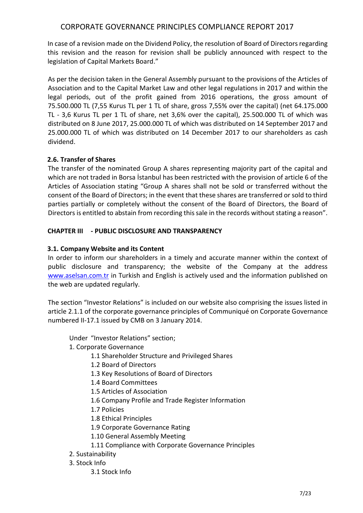In case of a revision made on the Dividend Policy, the resolution of Board of Directors regarding this revision and the reason for revision shall be publicly announced with respect to the legislation of Capital Markets Board."

As per the decision taken in the General Assembly pursuant to the provisions of the Articles of Association and to the Capital Market Law and other legal regulations in 2017 and within the legal periods, out of the profit gained from 2016 operations, the gross amount of 75.500.000 TL (7,55 Kurus TL per 1 TL of share, gross 7,55% over the capital) (net 64.175.000 TL - 3,6 Kurus TL per 1 TL of share, net 3,6% over the capital), 25.500.000 TL of which was distributed on 8 June 2017, 25.000.000 TL of which was distributed on 14 September 2017 and 25.000.000 TL of which was distributed on 14 December 2017 to our shareholders as cash dividend.

# **2.6. Transfer of Shares**

The transfer of the nominated Group A shares representing majority part of the capital and which are not traded in Borsa İstanbul has been restricted with the provision of article 6 of the Articles of Association stating "Group A shares shall not be sold or transferred without the consent of the Board of Directors; in the event that these shares are transferred or sold to third parties partially or completely without the consent of the Board of Directors, the Board of Directors is entitled to abstain from recording this sale in the records without stating a reason".

## **CHAPTER III - PUBLIC DISCLOSURE AND TRANSPARENCY**

## **3.1. Company Website and its Content**

In order to inform our shareholders in a timely and accurate manner within the context of public disclosure and transparency; the website of the Company at the address [www.aselsan.com.tr](http://www.aselsan.com.tr/) in Turkish and English is actively used and the information published on the web are updated regularly.

The section "Investor Relations" is included on our website also comprising the issues listed in article 2.1.1 of the corporate governance principles of Communiqué on Corporate Governance numbered II-17.1 issued by CMB on 3 January 2014.

Under "Investor Relations" section;

- 1. Corporate Governance
	- 1.1 Shareholder Structure and Privileged Shares
	- 1.2 Board of Directors
	- 1.3 Key Resolutions of Board of Directors
	- 1.4 Board Committees
	- 1.5 Articles of Association
	- 1.6 Company Profile and Trade Register Information
	- 1.7 Policies
	- 1.8 Ethical Principles
	- 1.9 Corporate Governance Rating
	- 1.10 General Assembly Meeting
	- 1.11 Compliance with Corporate Governance Principles
- 2. Sustainability
- 3. Stock Info
	- 3.1 Stock Info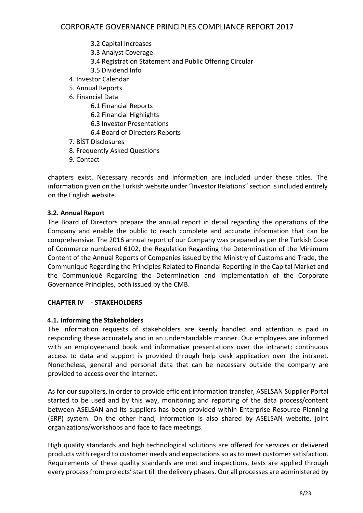- 3.2 Capital Increases
- 3.3 Analyst Coverage
- 3.4 Registration Statement and Public Offering Circular
- 3.5 Dividend Info
- 4. Investor Calendar
- 5. Annual Reports
- 6. Financial Data
	- 6.1 Financial Reports
	- 6.2 Financial Highlights
	- 6.3 Investor Presentations
	- 6.4 Board of Directors Reports
- 7. BİST Disclosures
- 8. Frequently Asked Questions
- 9. Contact

chapters exist. Necessary records and information are included under these titles. The information given on the Turkish website under "Investor Relations" section is included entirely on the English website.

## **3.2. Annual Report**

The Board of Directors prepare the annual report in detail regarding the operations of the Company and enable the public to reach complete and accurate information that can be comprehensive. The 2016 annual report of our Company was prepared as per the Turkish Code of Commerce numbered 6102, the Regulation Regarding the Determination of the Minimum Content of the Annual Reports of Companies issued by the Ministry of Customs and Trade, the Communiqué Regarding the Principles Related to Financial Reporting in the Capital Market and the Communiqué Regarding the Determination and Implementation of the Corporate Governance Principles, both issued by the CMB.

## **CHAPTER IV - STAKEHOLDERS**

## **4.1. Informing the Stakeholders**

The information requests of stakeholders are keenly handled and attention is paid in responding these accurately and in an understandable manner. Our employees are informed with an employeehand book and informative presentations over the intranet; continuous access to data and support is provided through help desk application over the intranet. Nonetheless, general and personal data that can be necessary outside the company are provided to access over the internet.

As for our suppliers, in order to provide efficient information transfer, ASELSAN Supplier Portal started to be used and by this way, monitoring and reporting of the data process/content between ASELSAN and its suppliers has been provided within Enterprise Resource Planning (ERP) system. On the other hand, information is also shared by ASELSAN website, joint organizations/workshops and face to face meetings.

High quality standards and high technological solutions are offered for services or delivered products with regard to customer needs and expectations so as to meet customer satisfaction. Requirements of these quality standards are met and inspections, tests are applied through every process from projects' start till the delivery phases. Our all processes are administered by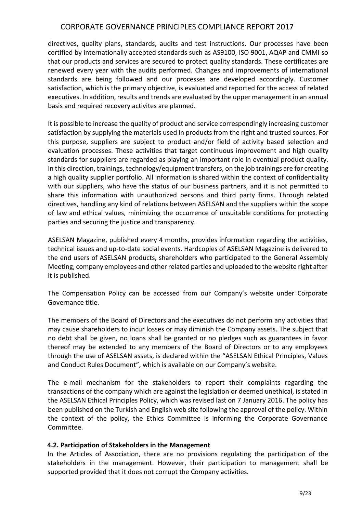directives, quality plans, standards, audits and test instructions. Our processes have been certified by internationally accepted standards such as AS9100, ISO 9001, AQAP and CMMI so that our products and services are secured to protect quality standards. These certificates are renewed every year with the audits performed. Changes and improvements of international standards are being followed and our processes are developed accordingly. Customer satisfaction, which is the primary objective, is evaluated and reported for the access of related executives. In addition, results and trends are evaluated by the upper management in an annual basis and required recovery activites are planned.

It is possible to increase the quality of product and service correspondingly increasing customer satisfaction by supplying the materials used in products from the right and trusted sources. For this purpose, suppliers are subject to product and/or field of activity based selection and evaluation processes. These activities that target continuous improvement and high quality standards for suppliers are regarded as playing an important role in eventual product quality. In this direction, trainings, technology/equipment transfers, on the job trainings are for creating a high quality supplier portfolio. All information is shared within the context of confidentiality with our suppliers, who have the status of our business partners, and it is not permitted to share this information with unauthorized persons and third party firms. Through related directives, handling any kind of relations between ASELSAN and the suppliers within the scope of law and ethical values, minimizing the occurrence of unsuitable conditions for protecting parties and securing the justice and transparency.

ASELSAN Magazine, published every 4 months, provides information regarding the activities, technical issues and up-to-date social events. Hardcopies of ASELSAN Magazine is delivered to the end users of ASELSAN products, shareholders who participated to the General Assembly Meeting, company employees and other related parties and uploaded to the website right after it is published.

The Compensation Policy can be accessed from our Company's website under Corporate Governance title.

The members of the Board of Directors and the executives do not perform any activities that may cause shareholders to incur losses or may diminish the Company assets. The subject that no debt shall be given, no loans shall be granted or no pledges such as guarantees in favor thereof may be extended to any members of the Board of Directors or to any employees through the use of ASELSAN assets, is declared within the "ASELSAN Ethical Principles, Values and Conduct Rules Document", which is available on our Company's website.

The e-mail mechanism for the stakeholders to report their complaints regarding the transactions of the company which are against the legislation or deemed unethical, is stated in the ASELSAN Ethical Principles Policy, which was revised last on 7 January 2016. The policy has been published on the Turkish and English web site following the approval of the policy. Within the context of the policy, the Ethics Committee is informing the Corporate Governance Committee.

#### **4.2. Participation of Stakeholders in the Management**

In the Articles of Association, there are no provisions regulating the participation of the stakeholders in the management. However, their participation to management shall be supported provided that it does not corrupt the Company activities.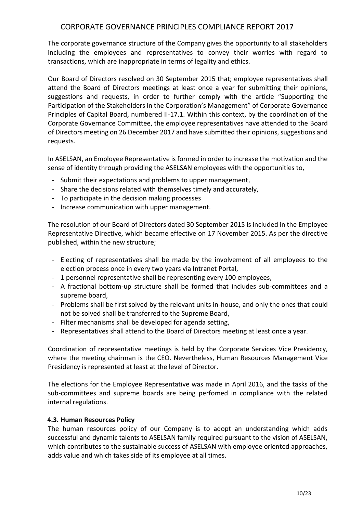The corporate governance structure of the Company gives the opportunity to all stakeholders including the employees and representatives to convey their worries with regard to transactions, which are inappropriate in terms of legality and ethics.

Our Board of Directors resolved on 30 September 2015 that; employee representatives shall attend the Board of Directors meetings at least once a year for submitting their opinions, suggestions and requests, in order to further comply with the article "Supporting the Participation of the Stakeholders in the Corporation's Management" of Corporate Governance Principles of Capital Board, numbered II-17.1. Within this context, by the coordination of the Corporate Governance Committee, the employee representatives have attended to the Board of Directors meeting on 26 December 2017 and have submitted their opinions, suggestions and requests.

In ASELSAN, an Employee Representative is formed in order to increase the motivation and the sense of identity through providing the ASELSAN employees with the opportunities to,

- Submit their expectations and problems to upper management,
- Share the decisions related with themselves timely and accurately,
- To participate in the decision making processes
- Increase communication with upper management.

The resolution of our Board of Directors dated 30 September 2015 is included in the Employee Representative Directive, which became effective on 17 November 2015. As per the directive published, within the new structure;

- Electing of representatives shall be made by the involvement of all employees to the election process once in every two years via Intranet Portal,
- 1 personnel representative shall be representing every 100 employees,
- A fractional bottom-up structure shall be formed that includes sub-committees and a supreme board,
- Problems shall be first solved by the relevant units in-house, and only the ones that could not be solved shall be transferred to the Supreme Board,
- Filter mechanisms shall be developed for agenda setting,
- Representatives shall attend to the Board of Directors meeting at least once a year.

Coordination of representative meetings is held by the Corporate Services Vice Presidency, where the meeting chairman is the CEO. Nevertheless, Human Resources Management Vice Presidency is represented at least at the level of Director.

The elections for the Employee Representative was made in April 2016, and the tasks of the sub-committees and supreme boards are being perfomed in compliance with the related internal regulations.

#### **4.3. Human Resources Policy**

The human resources policy of our Company is to adopt an understanding which adds successful and dynamic talents to ASELSAN family required pursuant to the vision of ASELSAN, which contributes to the sustainable success of ASELSAN with employee oriented approaches, adds value and which takes side of its employee at all times.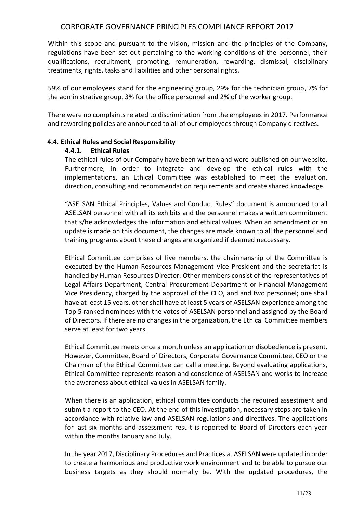Within this scope and pursuant to the vision, mission and the principles of the Company, regulations have been set out pertaining to the working conditions of the personnel, their qualifications, recruitment, promoting, remuneration, rewarding, dismissal, disciplinary treatments, rights, tasks and liabilities and other personal rights.

59% of our employees stand for the engineering group, 29% for the technician group, 7% for the administrative group, 3% for the office personnel and 2% of the worker group.

There were no complaints related to discrimination from the employees in 2017. Performance and rewarding policies are announced to all of our employees through Company directives.

### **4.4. Ethical Rules and Social Responsibility**

### **4.4.1. Ethical Rules**

The ethical rules of our Company have been written and were published on our website. Furthermore, in order to integrate and develop the ethical rules with the implementations, an Ethical Committee was established to meet the evaluation, direction, consulting and recommendation requirements and create shared knowledge.

"ASELSAN Ethical Principles, Values and Conduct Rules" document is announced to all ASELSAN personnel with all its exhibits and the personnel makes a written commitment that s/he acknowledges the information and ethical values. When an amendment or an update is made on this document, the changes are made known to all the personnel and training programs about these changes are organized if deemed neccessary.

Ethical Committee comprises of five members, the chairmanship of the Committee is executed by the Human Resources Management Vice President and the secretariat is handled by Human Resources Director. Other members consist of the representatives of Legal Affairs Department, Central Procurement Department or Financial Management Vice Presidency, charged by the approval of the CEO, and and two personnel; one shall have at least 15 years, other shall have at least 5 years of ASELSAN experience among the Top 5 ranked nominees with the votes of ASELSAN personnel and assigned by the Board of Directors. If there are no changes in the organization, the Ethical Committee members serve at least for two years.

Ethical Committee meets once a month unless an application or disobedience is present. However, Committee, Board of Directors, Corporate Governance Committee, CEO or the Chairman of the Ethical Committee can call a meeting. Beyond evaluating applications, Ethical Committee represents reason and conscience of ASELSAN and works to increase the awareness about ethical values in ASELSAN family.

When there is an application, ethical committee conducts the required assestment and submit a report to the CEO. At the end of this investigation, necessary steps are taken in accordance with relative law and ASELSAN regulations and directives. The applications for last six months and assessment result is reported to Board of Directors each year within the months January and July.

In the year 2017, Disciplinary Procedures and Practices at ASELSAN were updated in order to create a harmonious and productive work environment and to be able to pursue our business targets as they should normally be. With the updated procedures, the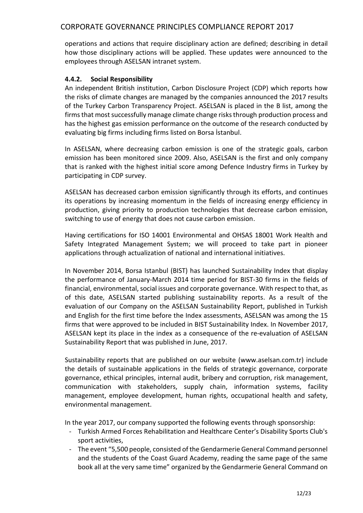operations and actions that require disciplinary action are defined; describing in detail how those disciplinary actions will be applied. These updates were announced to the employees through ASELSAN intranet system.

## **4.4.2. Social Responsibility**

An independent British institution, Carbon Disclosure Project (CDP) which reports how the risks of climate changes are managed by the companies announced the 2017 results of the Turkey Carbon Transparency Project. ASELSAN is placed in the B list, among the firms that most successfully manage climate change risks through production process and has the highest gas emission performance on the outcome of the research conducted by evaluating big firms including firms listed on Borsa İstanbul.

In ASELSAN, where decreasing carbon emission is one of the strategic goals, carbon emission has been monitored since 2009. Also, ASELSAN is the first and only company that is ranked with the highest initial score among Defence Industry firms in Turkey by participating in CDP survey.

ASELSAN has decreased carbon emission significantly through its efforts, and continues its operations by increasing momentum in the fields of increasing energy efficiency in production, giving priority to production technologies that decrease carbon emission, switching to use of energy that does not cause carbon emission.

Having certifications for ISO 14001 Environmental and OHSAS 18001 Work Health and Safety Integrated Management System; we will proceed to take part in pioneer applications through actualization of national and international initiatives.

In November 2014, Borsa Istanbul (BIST) has launched Sustainability Index that display the performance of January-March 2014 time period for BIST-30 firms in the fields of financial, environmental, social issues and corporate governance. With respect to that, as of this date, ASELSAN started publishing sustainability reports. As a result of the evaluation of our Company on the ASELSAN Sustainability Report, published in Turkish and English for the first time before the Index assessments, ASELSAN was among the 15 firms that were approved to be included in BIST Sustainability Index. In November 2017, ASELSAN kept its place in the index as a consequence of the re-evaluation of ASELSAN Sustainability Report that was published in June, 2017.

Sustainability reports that are published on our website (www.aselsan.com.tr) include the details of sustainable applications in the fields of strategic governance, corporate governance, ethical principles, internal audit, bribery and corruption, risk management, communication with stakeholders, supply chain, information systems, facility management, employee development, human rights, occupational health and safety, environmental management.

In the year 2017, our company supported the following events through sponsorship:

- Turkish Armed Forces Rehabilitation and Healthcare Center's Disability Sports Club's sport activities,
- The event "5,500 people, consisted of the Gendarmerie General Command personnel and the students of the Coast Guard Academy, reading the same page of the same book all at the very same time" organized by the Gendarmerie General Command on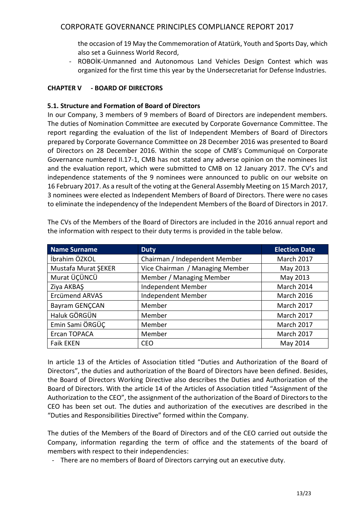the occasion of 19 May the Commemoration of Atatürk, Youth and Sports Day, which also set a Guinness World Record,

- ROBOİK-Unmanned and Autonomous Land Vehicles Design Contest which was organized for the first time this year by the Undersecretariat for Defense Industries.

### **CHAPTER V - BOARD OF DIRECTORS**

### **5.1. Structure and Formation of Board of Directors**

In our Company, 3 members of 9 members of Board of Directors are independent members. The duties of Nomination Committee are executed by Corporate Governance Committee. The report regarding the evaluation of the list of Independent Members of Board of Directors prepared by Corporate Governance Committee on 28 December 2016 was presented to Board of Directors on 28 December 2016. Within the scope of CMB's Communiqué on Corporate Governance numbered II.17-1, CMB has not stated any adverse opinion on the nominees list and the evaluation report, which were submitted to CMB on 12 January 2017. The CV's and independence statements of the 9 nominees were announced to public on our website on 16 February 2017. As a result of the voting at the General Assembly Meeting on 15 March 2017, 3 nominees were elected as Independent Members of Board of Directors. There were no cases to eliminate the independency of the Independent Members of the Board of Directors in 2017.

| <b>Name Surname</b>   | <b>Duty</b>                     | <b>Election Date</b> |
|-----------------------|---------------------------------|----------------------|
| İbrahim ÖZKOL         | Chairman / Independent Member   | March 2017           |
| Mustafa Murat ŞEKER   | Vice Chairman / Managing Member | May 2013             |
| Murat ÜÇÜNCÜ          | Member / Managing Member        | May 2013             |
| Ziya AKBAŞ            | Independent Member              | March 2014           |
| <b>Ercümend ARVAS</b> | Independent Member              | <b>March 2016</b>    |
| Bayram GENÇCAN        | Member                          | <b>March 2017</b>    |
| Haluk GÖRGÜN          | Member                          | March 2017           |
| Emin Sami ÖRGÜÇ       | Member                          | March 2017           |
| Ercan TOPACA          | Member                          | March 2017           |
| <b>Faik EKEN</b>      | <b>CEO</b>                      | May 2014             |

The CVs of the Members of the Board of Directors are included in the 2016 annual report and the information with respect to their duty terms is provided in the table below.

In article 13 of the Articles of Association titled "Duties and Authorization of the Board of Directors", the duties and authorization of the Board of Directors have been defined. Besides, the Board of Directors Working Directive also describes the Duties and Authorization of the Board of Directors. With the article 14 of the Articles of Association titled "Assignment of the Authorization to the CEO", the assignment of the authorization of the Board of Directors to the CEO has been set out. The duties and authorization of the executives are described in the "Duties and Responsibilities Directive" formed within the Company.

The duties of the Members of the Board of Directors and of the CEO carried out outside the Company, information regarding the term of office and the statements of the board of members with respect to their independencies:

- There are no members of Board of Directors carrying out an executive duty.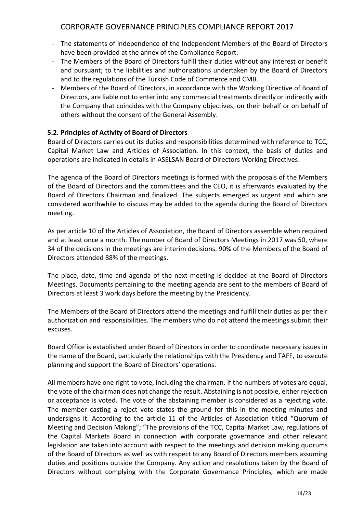- The statements of independence of the Independent Members of the Board of Directors have been provided at the annex of the Compliance Report.
- The Members of the Board of Directors fulfill their duties without any interest or benefit and pursuant; to the liabilities and authorizations undertaken by the Board of Directors and to the regulations of the Turkish Code of Commerce and CMB.
- Members of the Board of Directors, in accordance with the Working Directive of Board of Directors, are liable not to enter into any commercial treatments directly or indirectly with the Company that coincides with the Company objectives, on their behalf or on behalf of others without the consent of the General Assembly.

## **5.2. Principles of Activity of Board of Directors**

Board of Directors carries out its duties and responsibilities determined with reference to TCC, Capital Market Law and Articles of Association. In this context, the basis of duties and operations are indicated in details in ASELSAN Board of Directors Working Directives.

The agenda of the Board of Directors meetings is formed with the proposals of the Members of the Board of Directors and the committees and the CEO, it is afterwards evaluated by the Board of Directors Chairman and finalized. The subjects emerged as urgent and which are considered worthwhile to discuss may be added to the agenda during the Board of Directors meeting.

As per article 10 of the Articles of Association, the Board of Directors assemble when required and at least once a month. The number of Board of Directors Meetings in 2017 was 50, where 34 of the decisions in the meetings are interim decisions. 90% of the Members of the Board of Directors attended 88% of the meetings.

The place, date, time and agenda of the next meeting is decided at the Board of Directors Meetings. Documents pertaining to the meeting agenda are sent to the members of Board of Directors at least 3 work days before the meeting by the Presidency.

The Members of the Board of Directors attend the meetings and fulfill their duties as per their authorization and responsibilities. The members who do not attend the meetings submit their excuses.

Board Office is established under Board of Directors in order to coordinate necessary issues in the name of the Board, particularly the relationships with the Presidency and TAFF, to execute planning and support the Board of Directors' operations.

All members have one right to vote, including the chairman. If the numbers of votes are equal, the vote of the chairman does not change the result. Abstaining is not possible, either rejection or acceptance is voted. The vote of the abstaining member is considered as a rejecting vote. The member casting a reject vote states the ground for this in the meeting minutes and undersigns it. According to the article 11 of the Articles of Association titled "Quorum of Meeting and Decision Making"; "The provisions of the TCC, Capital Market Law, regulations of the Capital Markets Board in connection with corporate governance and other relevant legislation are taken into account with respect to the meetings and decision making quorums of the Board of Directors as well as with respect to any Board of Directors members assuming duties and positions outside the Company. Any action and resolutions taken by the Board of Directors without complying with the Corporate Governance Principles, which are made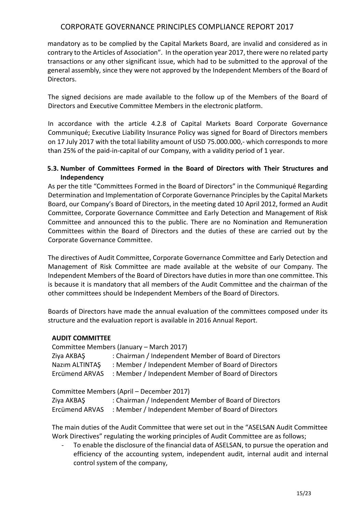mandatory as to be complied by the Capital Markets Board, are invalid and considered as in contrary to the Articles of Association". In the operation year 2017, there were no related party transactions or any other significant issue, which had to be submitted to the approval of the general assembly, since they were not approved by the Independent Members of the Board of **Directors** 

The signed decisions are made available to the follow up of the Members of the Board of Directors and Executive Committee Members in the electronic platform.

In accordance with the article 4.2.8 of Capital Markets Board Corporate Governance Communiqué; Executive Liability Insurance Policy was signed for Board of Directors members on 17 July 2017 with the total liability amount of USD 75.000.000,- which corresponds to more than 25% of the paid-in-capital of our Company, with a validity period of 1 year.

### **5.3. Number of Committees Formed in the Board of Directors with Their Structures and Independency**

As per the title "Committees Formed in the Board of Directors" in the Communiqué Regarding Determination and Implementation of Corporate Governance Principles by the Capital Markets Board, our Company's Board of Directors, in the meeting dated 10 April 2012, formed an Audit Committee, Corporate Governance Committee and Early Detection and Management of Risk Committee and announced this to the public. There are no Nomination and Remuneration Committees within the Board of Directors and the duties of these are carried out by the Corporate Governance Committee.

The directives of Audit Committee, Corporate Governance Committee and Early Detection and Management of Risk Committee are made available at the website of our Company. The Independent Members of the Board of Directors have duties in more than one committee. This is because it is mandatory that all members of the Audit Committee and the chairman of the other committees should be Independent Members of the Board of Directors.

Boards of Directors have made the annual evaluation of the committees composed under its structure and the evaluation report is available in 2016 Annual Report.

#### **AUDIT COMMITTEE**

|                | Committee Members (January – March 2017)              |
|----------------|-------------------------------------------------------|
| Ziya AKBAŞ     | : Chairman / Independent Member of Board of Directors |
| Nazim ALTINTAS | : Member / Independent Member of Board of Directors   |
| Ercümend ARVAS | : Member / Independent Member of Board of Directors   |
|                |                                                       |

Committee Members (April – December 2017)

| Ziya AKBAŞ     | : Chairman / Independent Member of Board of Directors |
|----------------|-------------------------------------------------------|
| Ercümend ARVAS | : Member / Independent Member of Board of Directors   |

The main duties of the Audit Committee that were set out in the "ASELSAN Audit Committee Work Directives" regulating the working principles of Audit Committee are as follows;

To enable the disclosure of the financial data of ASELSAN, to pursue the operation and efficiency of the accounting system, independent audit, internal audit and internal control system of the company,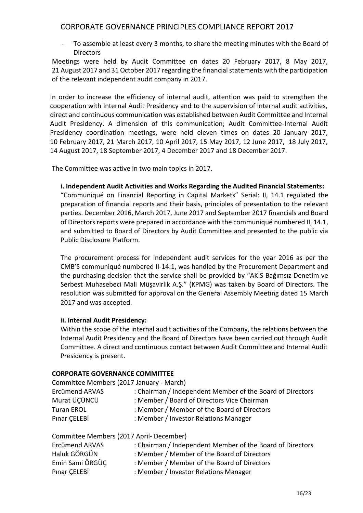To assemble at least every 3 months, to share the meeting minutes with the Board of **Directors** 

Meetings were held by Audit Committee on dates 20 February 2017, 8 May 2017, 21 August 2017 and 31 October 2017 regarding the financial statements with the participation of the relevant independent audit company in 2017.

In order to increase the efficiency of internal audit, attention was paid to strengthen the cooperation with Internal Audit Presidency and to the supervision of internal audit activities, direct and continuous communication was established between Audit Committee and Internal Audit Presidency. A dimension of this communication; Audit Committee-Internal Audit Presidency coordination meetings, were held eleven times on dates 20 January 2017, 10 February 2017, 21 March 2017, 10 April 2017, 15 May 2017, 12 June 2017, 18 July 2017, 14 August 2017, 18 September 2017, 4 December 2017 and 18 December 2017.

The Committee was active in two main topics in 2017.

### **i. Independent Audit Activities and Works Regarding the Audited Financial Statements:**

"Communiqué on Financial Reporting in Capital Markets" Serial: II, 14.1 regulated the preparation of financial reports and their basis, principles of presentation to the relevant parties. December 2016, March 2017, June 2017 and September 2017 financials and Board of Directors reports were prepared in accordance with the communiqué numbered II, 14.1, and submitted to Board of Directors by Audit Committee and presented to the public via Public Disclosure Platform.

The procurement process for independent audit services for the year 2016 as per the CMB'S communiqué numbered II-14:1, was handled by the Procurement Department and the purchasing decision that the service shall be provided by "AKİS Bağımsız Denetim ve Serbest Muhasebeci Mali Müşavirlik A.Ş." (KPMG) was taken by Board of Directors. The resolution was submitted for approval on the General Assembly Meeting dated 15 March 2017 and was accepted.

## **ii. Internal Audit Presidency:**

Within the scope of the internal audit activities of the Company, the relations between the Internal Audit Presidency and the Board of Directors have been carried out through Audit Committee. A direct and continuous contact between Audit Committee and Internal Audit Presidency is present.

#### **CORPORATE GOVERNANCE COMMITTEE**

| Committee Members (2017 January - March) |                                                           |
|------------------------------------------|-----------------------------------------------------------|
| Ercümend ARVAS                           | : Chairman / Independent Member of the Board of Directors |
| Murat ÜÇÜNCÜ                             | : Member / Board of Directors Vice Chairman               |
| <b>Turan EROL</b>                        | : Member / Member of the Board of Directors               |
| Pinar CELEBİ                             | : Member / Investor Relations Manager                     |
|                                          |                                                           |

| Committee Members (2017 April- December) |                                                           |
|------------------------------------------|-----------------------------------------------------------|
| Ercümend ARVAS                           | : Chairman / Independent Member of the Board of Directors |
| Haluk GÖRGÜN                             | : Member / Member of the Board of Directors               |
| Emin Sami ÖRGÜC                          | : Member / Member of the Board of Directors               |
| Pinar CELEBİ                             | : Member / Investor Relations Manager                     |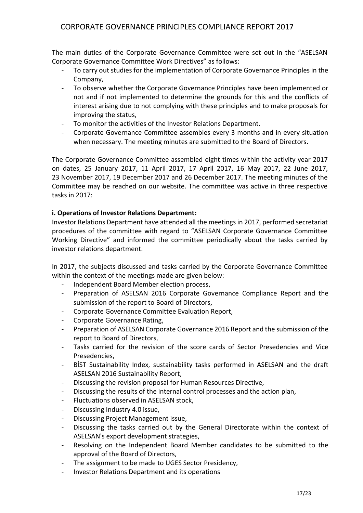The main duties of the Corporate Governance Committee were set out in the "ASELSAN Corporate Governance Committee Work Directives" as follows:

- To carry out studies for the implementation of Corporate Governance Principles in the Company,
- To observe whether the Corporate Governance Principles have been implemented or not and if not implemented to determine the grounds for this and the conflicts of interest arising due to not complying with these principles and to make proposals for improving the status,
- To monitor the activities of the Investor Relations Department.
- Corporate Governance Committee assembles every 3 months and in every situation when necessary. The meeting minutes are submitted to the Board of Directors.

The Corporate Governance Committee assembled eight times within the activity year 2017 on dates, 25 January 2017, 11 April 2017, 17 April 2017, 16 May 2017, 22 June 2017, 23 November 2017, 19 December 2017 and 26 December 2017. The meeting minutes of the Committee may be reached on our website. The committee was active in three respective tasks in 2017:

### **i. Operations of Investor Relations Department:**

Investor Relations Department have attended all the meetings in 2017, performed secretariat procedures of the committee with regard to "ASELSAN Corporate Governance Committee Working Directive" and informed the committee periodically about the tasks carried by investor relations department.

In 2017, the subjects discussed and tasks carried by the Corporate Governance Committee within the context of the meetings made are given below:

- Independent Board Member election process,
- Preparation of ASELSAN 2016 Corporate Governance Compliance Report and the submission of the report to Board of Directors,
- Corporate Governance Committee Evaluation Report,
- Corporate Governance Rating,
- Preparation of ASELSAN Corporate Governance 2016 Report and the submission of the report to Board of Directors,
- Tasks carried for the revision of the score cards of Sector Presedencies and Vice Presedencies,
- BİST Sustainability Index, sustainability tasks performed in ASELSAN and the draft ASELSAN 2016 Sustainability Report,
- Discussing the revision proposal for Human Resources Directive,
- Discussing the results of the internal control processes and the action plan,
- Fluctuations observed in ASELSAN stock,
- Discussing Industry 4.0 issue,
- Discussing Project Management issue,
- Discussing the tasks carried out by the General Directorate within the context of ASELSAN's export development strategies,
- Resolving on the Independent Board Member candidates to be submitted to the approval of the Board of Directors,
- The assignment to be made to UGES Sector Presidency,
- Investor Relations Department and its operations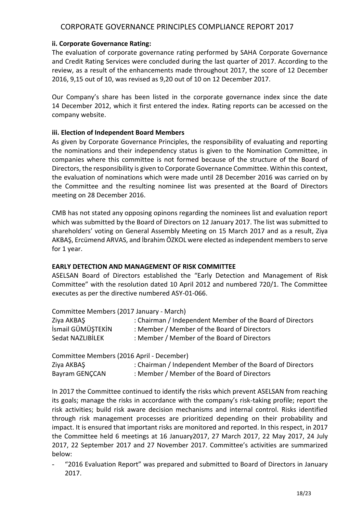#### **ii. Corporate Governance Rating:**

The evaluation of corporate governance rating performed by SAHA Corporate Governance and Credit Rating Services were concluded during the last quarter of 2017. According to the review, as a result of the enhancements made throughout 2017, the score of 12 December 2016, 9,15 out of 10, was revised as 9,20 out of 10 on 12 December 2017.

Our Company's share has been listed in the corporate governance index since the date 14 December 2012, which it first entered the index. Rating reports can be accessed on the company website.

### **iii. Election of Independent Board Members**

As given by Corporate Governance Principles, the responsibility of evaluating and reporting the nominations and their independency status is given to the Nomination Committee, in companies where this committee is not formed because of the structure of the Board of Directors, the responsibility is given to Corporate Governance Committee. Within this context, the evaluation of nominations which were made until 28 December 2016 was carried on by the Committee and the resulting nominee list was presented at the Board of Directors meeting on 28 December 2016.

CMB has not stated any opposing opinons regarding the nominees list and evaluation report which was submitted by the Board of Directors on 12 January 2017. The list was submitted to shareholders' voting on General Assembly Meeting on 15 March 2017 and as a result, Ziya AKBAŞ, Ercümend ARVAS, and İbrahim ÖZKOL were elected as independent members to serve for 1 year.

#### **EARLY DETECTION AND MANAGEMENT OF RISK COMMITTEE**

ASELSAN Board of Directors established the "Early Detection and Management of Risk Committee" with the resolution dated 10 April 2012 and numbered 720/1. The Committee executes as per the directive numbered ASY-01-066.

Committee Members (2017 January - March)

| Ziya AKBAŞ        | : Chairman / Independent Member of the Board of Directors |
|-------------------|-----------------------------------------------------------|
| İsmail GÜMÜŞTEKİN | : Member / Member of the Board of Directors               |
| Sedat NAZLIBİLEK  | : Member / Member of the Board of Directors               |

Committee Members (2016 April - December) Ziya AKBAŞ : Chairman / Independent Member of the Board of Directors Bayram GENCCAN : Member / Member of the Board of Directors

In 2017 the Committee continued to identify the risks which prevent ASELSAN from reaching its goals; manage the risks in accordance with the company's risk-taking profile; report the risk activities; build risk aware decision mechanisms and internal control. Risks identified through risk management processes are prioritized depending on their probability and impact. It is ensured that important risks are monitored and reported. In this respect, in 2017 the Committee held 6 meetings at 16 January2017, 27 March 2017, 22 May 2017, 24 July 2017, 22 September 2017 and 27 November 2017. Committee's activities are summarized below:

"2016 Evaluation Report" was prepared and submitted to Board of Directors in January 2017.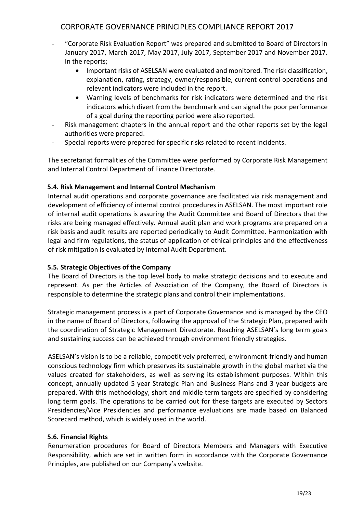- "Corporate Risk Evaluation Report" was prepared and submitted to Board of Directors in January 2017, March 2017, May 2017, July 2017, September 2017 and November 2017. In the reports;
	- Important risks of ASELSAN were evaluated and monitored. The risk classification, explanation, rating, strategy, owner/responsible, current control operations and relevant indicators were included in the report.
	- Warning levels of benchmarks for risk indicators were determined and the risk indicators which divert from the benchmark and can signal the poor performance of a goal during the reporting period were also reported.
- Risk management chapters in the annual report and the other reports set by the legal authorities were prepared.
- Special reports were prepared for specific risks related to recent incidents.

The secretariat formalities of the Committee were performed by Corporate Risk Management and Internal Control Department of Finance Directorate.

## **5.4. Risk Management and Internal Control Mechanism**

Internal audit operations and corporate governance are facilitated via risk management and development of efficiency of internal control procedures in ASELSAN. The most important role of internal audit operations is assuring the Audit Committee and Board of Directors that the risks are being managed effectively. Annual audit plan and work programs are prepared on a risk basis and audit results are reported periodically to Audit Committee. Harmonization with legal and firm regulations, the status of application of ethical principles and the effectiveness of risk mitigation is evaluated by Internal Audit Department.

#### **5.5. Strategic Objectives of the Company**

The Board of Directors is the top level body to make strategic decisions and to execute and represent. As per the Articles of Association of the Company, the Board of Directors is responsible to determine the strategic plans and control their implementations.

Strategic management process is a part of Corporate Governance and is managed by the CEO in the name of Board of Directors, following the approval of the Strategic Plan, prepared with the coordination of Strategic Management Directorate. Reaching ASELSAN's long term goals and sustaining success can be achieved through environment friendly strategies.

ASELSAN's vision is to be a reliable, competitively preferred, environment-friendly and human conscious technology firm which preserves its sustainable growth in the global market via the values created for stakeholders, as well as serving its establishment purposes. Within this concept, annually updated 5 year Strategic Plan and Business Plans and 3 year budgets are prepared. With this methodology, short and middle term targets are specified by considering long term goals. The operations to be carried out for these targets are executed by Sectors Presidencies/Vice Presidencies and performance evaluations are made based on Balanced Scorecard method, which is widely used in the world.

#### **5.6. Financial Rights**

Renumeration procedures for Board of Directors Members and Managers with Executive Responsibility, which are set in written form in accordance with the Corporate Governance Principles, are published on our Company's website.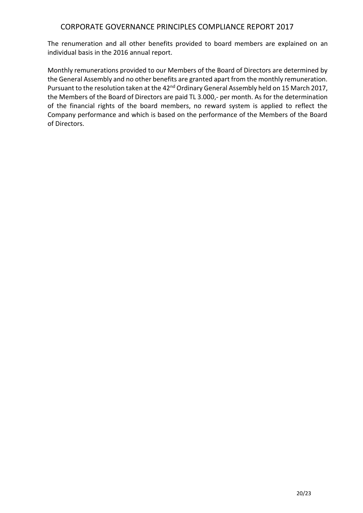The renumeration and all other benefits provided to board members are explained on an individual basis in the 2016 annual report.

Monthly remunerations provided to our Members of the Board of Directors are determined by the General Assembly and no other benefits are granted apart from the monthly remuneration. Pursuant to the resolution taken at the 42<sup>nd</sup> Ordinary General Assembly held on 15 March 2017, the Members of the Board of Directors are paid TL 3.000,- per month. As for the determination of the financial rights of the board members, no reward system is applied to reflect the Company performance and which is based on the performance of the Members of the Board of Directors.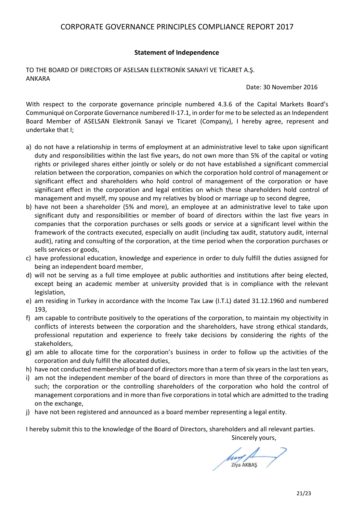### **Statement of Independence**

### TO THE BOARD OF DIRECTORS OF ASELSAN ELEKTRONİK SANAYİ VE TİCARET A.Ş. ANKARA

Date: 30 November 2016

With respect to the corporate governance principle numbered 4.3.6 of the Capital Markets Board's Communiqué on Corporate Governance numbered II-17.1, in order for me to be selected as an Independent Board Member of ASELSAN Elektronik Sanayi ve Ticaret (Company), I hereby agree, represent and undertake that I;

- a) do not have a relationship in terms of employment at an administrative level to take upon significant duty and responsibilities within the last five years, do not own more than 5% of the capital or voting rights or privileged shares either jointly or solely or do not have established a significant commercial relation between the corporation, companies on which the corporation hold control of management or significant effect and shareholders who hold control of management of the corporation or have significant effect in the corporation and legal entities on which these shareholders hold control of management and myself, my spouse and my relatives by blood or marriage up to second degree,
- b) have not been a shareholder (5% and more), an employee at an administrative level to take upon significant duty and responsibilities or member of board of directors within the last five years in companies that the corporation purchases or sells goods or service at a significant level within the framework of the contracts executed, especially on audit (including tax audit, statutory audit, internal audit), rating and consulting of the corporation, at the time period when the corporation purchases or sells services or goods,
- c) have professional education, knowledge and experience in order to duly fulfill the duties assigned for being an independent board member,
- d) will not be serving as a full time employee at public authorities and institutions after being elected, except being an academic member at university provided that is in compliance with the relevant legislation,
- e) am residing in Turkey in accordance with the Income Tax Law (I.T.L) dated 31.12.1960 and numbered 193,
- f) am capable to contribute positively to the operations of the corporation, to maintain my objectivity in conflicts of interests between the corporation and the shareholders, have strong ethical standards, professional reputation and experience to freely take decisions by considering the rights of the stakeholders,
- g) am able to allocate time for the corporation's business in order to follow up the activities of the corporation and duly fulfill the allocated duties,
- h) have not conducted membership of board of directors more than a term of six years in the last ten years,
- i) am not the independent member of the board of directors in more than three of the corporations as such; the corporation or the controlling shareholders of the corporation who hold the control of management corporations and in more than five corporations in total which are admitted to the trading on the exchange,
- j) have not been registered and announced as a board member representing a legal entity.

I hereby submit this to the knowledge of the Board of Directors, shareholders and all relevant parties. Sincerely yours,

leew Ziya AKBAS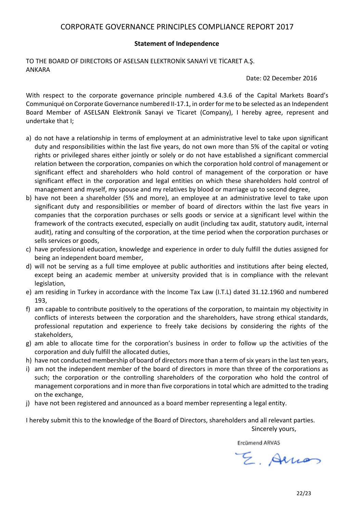#### **Statement of Independence**

TO THE BOARD OF DIRECTORS OF ASELSAN ELEKTRONİK SANAYİ VE TİCARET A.Ş. ANKARA

Date: 02 December 2016

With respect to the corporate governance principle numbered 4.3.6 of the Capital Markets Board's Communiqué on Corporate Governance numbered II-17.1, in order for me to be selected as an Independent Board Member of ASELSAN Elektronik Sanayi ve Ticaret (Company), I hereby agree, represent and undertake that I;

- a) do not have a relationship in terms of employment at an administrative level to take upon significant duty and responsibilities within the last five years, do not own more than 5% of the capital or voting rights or privileged shares either jointly or solely or do not have established a significant commercial relation between the corporation, companies on which the corporation hold control of management or significant effect and shareholders who hold control of management of the corporation or have significant effect in the corporation and legal entities on which these shareholders hold control of management and myself, my spouse and my relatives by blood or marriage up to second degree,
- b) have not been a shareholder (5% and more), an employee at an administrative level to take upon significant duty and responsibilities or member of board of directors within the last five years in companies that the corporation purchases or sells goods or service at a significant level within the framework of the contracts executed, especially on audit (including tax audit, statutory audit, internal audit), rating and consulting of the corporation, at the time period when the corporation purchases or sells services or goods,
- c) have professional education, knowledge and experience in order to duly fulfill the duties assigned for being an independent board member,
- d) will not be serving as a full time employee at public authorities and institutions after being elected, except being an academic member at university provided that is in compliance with the relevant legislation,
- e) am residing in Turkey in accordance with the Income Tax Law (I.T.L) dated 31.12.1960 and numbered 193,
- f) am capable to contribute positively to the operations of the corporation, to maintain my objectivity in conflicts of interests between the corporation and the shareholders, have strong ethical standards, professional reputation and experience to freely take decisions by considering the rights of the stakeholders,
- g) am able to allocate time for the corporation's business in order to follow up the activities of the corporation and duly fulfill the allocated duties,
- h) have not conducted membership of board of directors more than a term of six years in the last ten years,
- i) am not the independent member of the board of directors in more than three of the corporations as such; the corporation or the controlling shareholders of the corporation who hold the control of management corporations and in more than five corporations in total which are admitted to the trading on the exchange,
- j) have not been registered and announced as a board member representing a legal entity.

I hereby submit this to the knowledge of the Board of Directors, shareholders and all relevant parties.

Sincerely yours,

**Ercümend ARVAS** 

E. Arrios